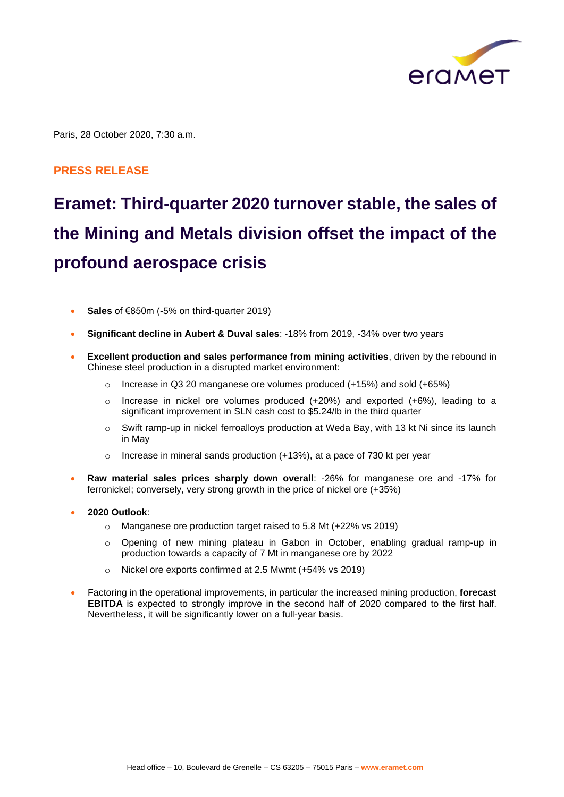

Paris, 28 October 2020, 7:30 a.m.

### **PRESS RELEASE**

# **Eramet: Third-quarter 2020 turnover stable, the sales of the Mining and Metals division offset the impact of the profound aerospace crisis**

- **Sales** of €850m (-5% on third-quarter 2019)
- **Significant decline in Aubert & Duval sales**: -18% from 2019, -34% over two years
- **Excellent production and sales performance from mining activities**, driven by the rebound in Chinese steel production in a disrupted market environment:
	- o Increase in Q3 20 manganese ore volumes produced (+15%) and sold (+65%)
	- $\circ$  Increase in nickel ore volumes produced (+20%) and exported (+6%), leading to a significant improvement in SLN cash cost to \$5.24/lb in the third quarter
	- $\circ$  Swift ramp-up in nickel ferroalloys production at Weda Bay, with 13 kt Ni since its launch in May
	- o Increase in mineral sands production (+13%), at a pace of 730 kt per year
- **Raw material sales prices sharply down overall**: -26% for manganese ore and -17% for ferronickel; conversely, very strong growth in the price of nickel ore (+35%)
- **2020 Outlook**:
	- o Manganese ore production target raised to 5.8 Mt (+22% vs 2019)
	- o Opening of new mining plateau in Gabon in October, enabling gradual ramp-up in production towards a capacity of 7 Mt in manganese ore by 2022
	- o Nickel ore exports confirmed at 2.5 Mwmt (+54% vs 2019)
- Factoring in the operational improvements, in particular the increased mining production, **forecast EBITDA** is expected to strongly improve in the second half of 2020 compared to the first half. Nevertheless, it will be significantly lower on a full-year basis.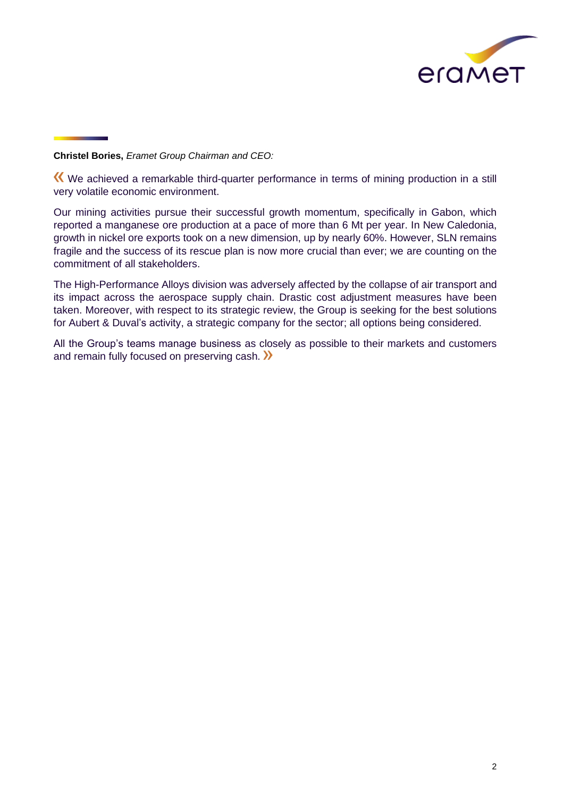

**Christel Bories,** *Eramet Group Chairman and CEO:*

We achieved a remarkable third-quarter performance in terms of mining production in a still very volatile economic environment.

Our mining activities pursue their successful growth momentum, specifically in Gabon, which reported a manganese ore production at a pace of more than 6 Mt per year. In New Caledonia, growth in nickel ore exports took on a new dimension, up by nearly 60%. However, SLN remains fragile and the success of its rescue plan is now more crucial than ever; we are counting on the commitment of all stakeholders.

The High-Performance Alloys division was adversely affected by the collapse of air transport and its impact across the aerospace supply chain. Drastic cost adjustment measures have been taken. Moreover, with respect to its strategic review, the Group is seeking for the best solutions for Aubert & Duval's activity, a strategic company for the sector; all options being considered.

All the Group's teams manage business as closely as possible to their markets and customers and remain fully focused on preserving cash.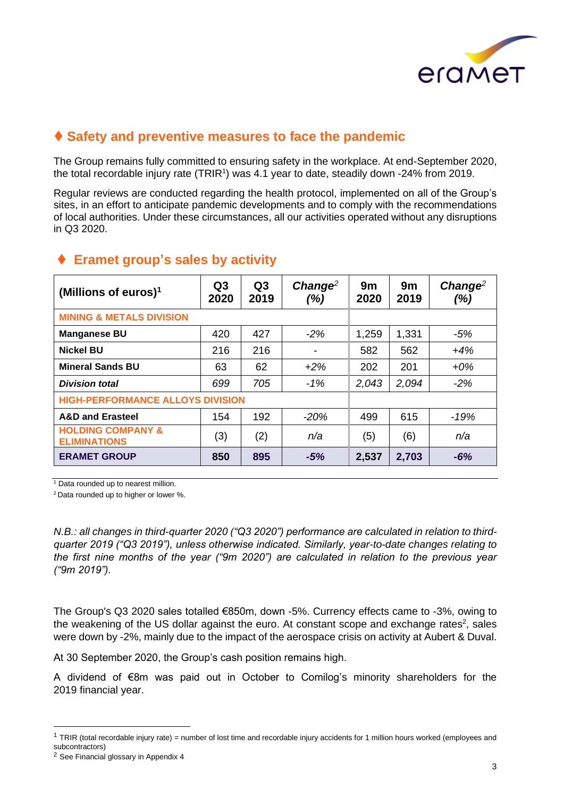

## ⧫ **Safety and preventive measures to face the pandemic**

The Group remains fully committed to ensuring safety in the workplace. At end-September 2020, the total recordable injury rate  $(TRIR<sup>1</sup>)$  was 4.1 year to date, steadily down -24% from 2019.

Regular reviews are conducted regarding the health protocol, implemented on all of the Group's sites, in an effort to anticipate pandemic developments and to comply with the recommendations of local authorities. Under these circumstances, all our activities operated without any disruptions in Q3 2020.

| (Millions of euros) $1$                             | Q <sub>3</sub><br>2020 | Q <sub>3</sub><br>2019 | $Change2$<br>(%) | 9m<br>2020 | 9m<br>2019 | $Change2$<br>(%) |
|-----------------------------------------------------|------------------------|------------------------|------------------|------------|------------|------------------|
| <b>MINING &amp; METALS DIVISION</b>                 |                        |                        |                  |            |            |                  |
| <b>Manganese BU</b>                                 | 420                    | 427                    | $-2%$            | 1,259      | 1,331      | $-5%$            |
| <b>Nickel BU</b>                                    | 216                    | 216                    | -                | 582        | 562        | $+4%$            |
| <b>Mineral Sands BU</b>                             | 63                     | 62                     | $+2%$            | 202        | 201        | $+0\%$           |
| <b>Division total</b>                               | 699                    | 705                    | $-1%$            | 2,043      | 2,094      | $-2%$            |
| <b>HIGH-PERFORMANCE ALLOYS DIVISION</b>             |                        |                        |                  |            |            |                  |
| <b>A&amp;D and Erasteel</b>                         | 154                    | 192                    | $-20\%$          | 499        | 615        | $-19%$           |
| <b>HOLDING COMPANY &amp;</b><br><b>ELIMINATIONS</b> | (3)                    | (2)                    | n/a              | (5)        | (6)        | n/a              |
| <b>ERAMET GROUP</b>                                 | 850                    | 895                    | $-5%$            | 2,537      | 2,703      | $-6%$            |

### ⧫ **Eramet group's sales by activity**

<sup>1</sup> Data rounded up to nearest million.

<sup>2</sup>Data rounded up to higher or lower %.

*N.B.: all changes in third-quarter 2020 ("Q3 2020") performance are calculated in relation to thirdquarter 2019 ("Q3 2019"), unless otherwise indicated. Similarly, year-to-date changes relating to the first nine months of the year ("9m 2020") are calculated in relation to the previous year ("9m 2019").*

The Group's Q3 2020 sales totalled €850m, down -5%. Currency effects came to -3%, owing to the weakening of the US dollar against the euro. At constant scope and exchange rates<sup>2</sup>, sales were down by -2%, mainly due to the impact of the aerospace crisis on activity at Aubert & Duval.

At 30 September 2020, the Group's cash position remains high.

A dividend of €8m was paid out in October to Comilog's minority shareholders for the 2019 financial year.

 $1$  TRIR (total recordable injury rate) = number of lost time and recordable injury accidents for 1 million hours worked (employees and subcontractors)

<sup>2</sup> See Financial glossary in Appendix 4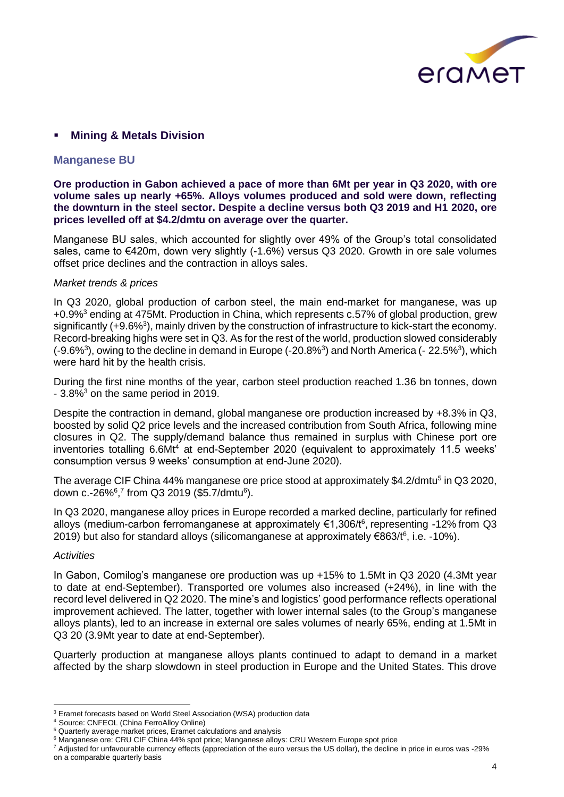

### **Mining & Metals Division**

#### **Manganese BU**

**Ore production in Gabon achieved a pace of more than 6Mt per year in Q3 2020, with ore volume sales up nearly +65%. Alloys volumes produced and sold were down, reflecting the downturn in the steel sector. Despite a decline versus both Q3 2019 and H1 2020, ore prices levelled off at \$4.2/dmtu on average over the quarter.**

Manganese BU sales, which accounted for slightly over 49% of the Group's total consolidated sales, came to €420m, down very slightly (-1.6%) versus Q3 2020. Growth in ore sale volumes offset price declines and the contraction in alloys sales.

#### *Market trends & prices*

In Q3 2020, global production of carbon steel, the main end-market for manganese, was up +0.9%<sup>3</sup> ending at 475Mt. Production in China, which represents c.57% of global production, grew significantly (+9.6%<sup>3</sup>), mainly driven by the construction of infrastructure to kick-start the economy. Record-breaking highs were set in Q3. As for the rest of the world, production slowed considerably  $(-9.6\%)$ , owing to the decline in demand in Europe  $(-20.8\%)$  and North America  $(-22.5\%)$ , which were hard hit by the health crisis.

During the first nine months of the year, carbon steel production reached 1.36 bn tonnes, down  $-3.8\%$ <sup>3</sup> on the same period in 2019.

Despite the contraction in demand, global manganese ore production increased by +8.3% in Q3, boosted by solid Q2 price levels and the increased contribution from South Africa, following mine closures in Q2. The supply/demand balance thus remained in surplus with Chinese port ore inventories totalling 6.6Mt<sup>4</sup> at end-September 2020 (equivalent to approximately 11.5 weeks' consumption versus 9 weeks' consumption at end-June 2020).

The average CIF China 44% manganese ore price stood at approximately \$4.2/dmtu<sup>5</sup> in Q3 2020, down c.-26%<sup>6</sup>,<sup>7</sup> from Q3 2019 (\$5.7/dmtu<sup>6</sup>).

In Q3 2020, manganese alloy prices in Europe recorded a marked decline, particularly for refined alloys (medium-carbon ferromanganese at approximately €1,306/t<sup>6</sup>, representing -12% from Q3 2019) but also for standard alloys (silicomanganese at approximately €863/t<sup>6</sup>, i.e. -10%).

#### *Activities*

In Gabon, Comilog's manganese ore production was up +15% to 1.5Mt in Q3 2020 (4.3Mt year to date at end-September). Transported ore volumes also increased (+24%), in line with the record level delivered in Q2 2020. The mine's and logistics' good performance reflects operational improvement achieved. The latter, together with lower internal sales (to the Group's manganese alloys plants), led to an increase in external ore sales volumes of nearly 65%, ending at 1.5Mt in Q3 20 (3.9Mt year to date at end-September).

Quarterly production at manganese alloys plants continued to adapt to demand in a market affected by the sharp slowdown in steel production in Europe and the United States. This drove

<sup>&</sup>lt;sup>3</sup> Eramet forecasts based on World Steel Association (WSA) production data

Source: CNFEOL (China FerroAlloy Online)

<sup>5</sup> Quarterly average market prices, Eramet calculations and analysis

<sup>6</sup> Manganese ore: CRU CIF China 44% spot price; Manganese alloys: CRU Western Europe spot price

<sup>7</sup> Adjusted for unfavourable currency effects (appreciation of the euro versus the US dollar), the decline in price in euros was -29% on a comparable quarterly basis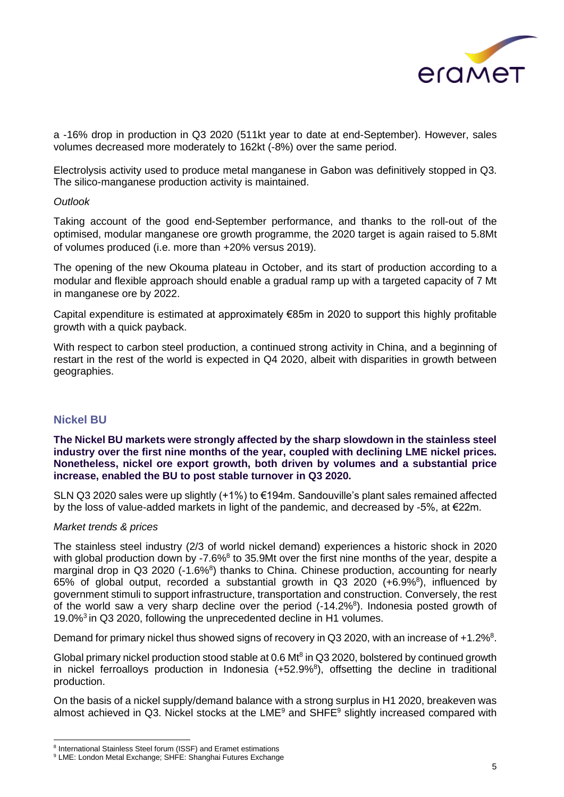

a -16% drop in production in Q3 2020 (511kt year to date at end-September). However, sales volumes decreased more moderately to 162kt (-8%) over the same period.

Electrolysis activity used to produce metal manganese in Gabon was definitively stopped in Q3. The silico-manganese production activity is maintained.

#### *Outlook*

Taking account of the good end-September performance, and thanks to the roll-out of the optimised, modular manganese ore growth programme, the 2020 target is again raised to 5.8Mt of volumes produced (i.e. more than +20% versus 2019).

The opening of the new Okouma plateau in October, and its start of production according to a modular and flexible approach should enable a gradual ramp up with a targeted capacity of 7 Mt in manganese ore by 2022.

Capital expenditure is estimated at approximately €85m in 2020 to support this highly profitable growth with a quick payback.

With respect to carbon steel production, a continued strong activity in China, and a beginning of restart in the rest of the world is expected in Q4 2020, albeit with disparities in growth between geographies.

### **Nickel BU**

#### **The Nickel BU markets were strongly affected by the sharp slowdown in the stainless steel industry over the first nine months of the year, coupled with declining LME nickel prices. Nonetheless, nickel ore export growth, both driven by volumes and a substantial price increase, enabled the BU to post stable turnover in Q3 2020.**

SLN Q3 2020 sales were up slightly (+1%) to €194m. Sandouville's plant sales remained affected by the loss of value-added markets in light of the pandemic, and decreased by -5%, at €22m.

#### *Market trends & prices*

The stainless steel industry (2/3 of world nickel demand) experiences a historic shock in 2020 with global production down by -7.6% $8$  to 35.9Mt over the first nine months of the year, despite a marginal drop in Q3 2020 (-1.6%<sup>8</sup>) thanks to China. Chinese production, accounting for nearly 65% of global output, recorded a substantial growth in Q3 2020 (+6.9%<sup>8</sup>), influenced by government stimuli to support infrastructure, transportation and construction. Conversely, the rest of the world saw a very sharp decline over the period  $(-14.2\%)$ . Indonesia posted growth of 19.0%<sup>3</sup>in Q3 2020, following the unprecedented decline in H1 volumes.

Demand for primary nickel thus showed signs of recovery in Q3 2020, with an increase of +1.2%<sup>8</sup>.

Global primary nickel production stood stable at  $0.6$  Mt<sup>8</sup> in Q3 2020, bolstered by continued growth in nickel ferroalloys production in Indonesia  $(+52.9\%)$ , offsetting the decline in traditional production.

On the basis of a nickel supply/demand balance with a strong surplus in H1 2020, breakeven was almost achieved in Q3. Nickel stocks at the  $LME<sup>9</sup>$  and  $SHFE<sup>9</sup>$  slightly increased compared with

<sup>8</sup> International Stainless Steel forum (ISSF) and Eramet estimations

<sup>&</sup>lt;sup>9</sup> LME: London Metal Exchange; SHFE: Shanghai Futures Exchange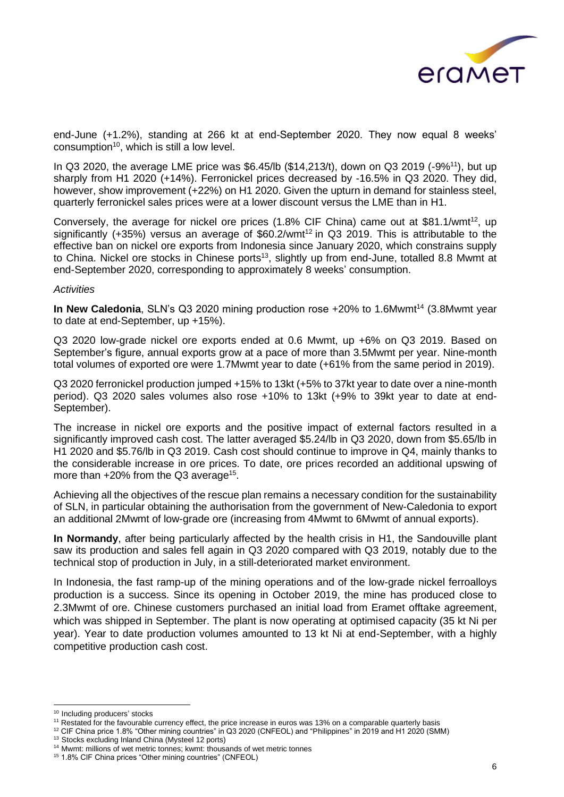

end-June (+1.2%), standing at 266 kt at end-September 2020. They now equal 8 weeks'  $consumption<sup>10</sup>$ , which is still a low level.

In Q3 2020, the average LME price was \$6.45/lb (\$14,213/t), down on Q3 2019 (-9%<sup>11</sup>), but up sharply from H1 2020 (+14%). Ferronickel prices decreased by -16.5% in Q3 2020. They did, however, show improvement (+22%) on H1 2020. Given the upturn in demand for stainless steel, quarterly ferronickel sales prices were at a lower discount versus the LME than in H1.

Conversely, the average for nickel ore prices  $(1.8\%$  CIF China) came out at \$81.1/wmt<sup>12</sup>, up significantly  $(+35%)$  versus an average of \$60.2/wmt<sup>12</sup> in Q3 2019. This is attributable to the effective ban on nickel ore exports from Indonesia since January 2020, which constrains supply to China. Nickel ore stocks in Chinese ports<sup>13</sup>, slightly up from end-June, totalled 8.8 Mwmt at end-September 2020, corresponding to approximately 8 weeks' consumption.

#### *Activities*

In New Caledonia, SLN's Q3 2020 mining production rose +20% to 1.6Mwmt<sup>14</sup> (3.8Mwmt year to date at end-September, up +15%).

Q3 2020 low-grade nickel ore exports ended at 0.6 Mwmt, up +6% on Q3 2019. Based on September's figure, annual exports grow at a pace of more than 3.5Mwmt per year. Nine-month total volumes of exported ore were 1.7Mwmt year to date (+61% from the same period in 2019).

Q3 2020 ferronickel production jumped +15% to 13kt (+5% to 37kt year to date over a nine-month period). Q3 2020 sales volumes also rose +10% to 13kt (+9% to 39kt year to date at end-September).

The increase in nickel ore exports and the positive impact of external factors resulted in a significantly improved cash cost. The latter averaged \$5.24/lb in Q3 2020, down from \$5.65/lb in H1 2020 and \$5.76/lb in Q3 2019. Cash cost should continue to improve in Q4, mainly thanks to the considerable increase in ore prices. To date, ore prices recorded an additional upswing of more than  $+20\%$  from the Q3 average<sup>15</sup>.

Achieving all the objectives of the rescue plan remains a necessary condition for the sustainability of SLN, in particular obtaining the authorisation from the government of New-Caledonia to export an additional 2Mwmt of low-grade ore (increasing from 4Mwmt to 6Mwmt of annual exports).

**In Normandy**, after being particularly affected by the health crisis in H1, the Sandouville plant saw its production and sales fell again in Q3 2020 compared with Q3 2019, notably due to the technical stop of production in July, in a still-deteriorated market environment.

In Indonesia, the fast ramp-up of the mining operations and of the low-grade nickel ferroalloys production is a success. Since its opening in October 2019, the mine has produced close to 2.3Mwmt of ore. Chinese customers purchased an initial load from Eramet offtake agreement, which was shipped in September. The plant is now operating at optimised capacity (35 kt Ni per year). Year to date production volumes amounted to 13 kt Ni at end-September, with a highly competitive production cash cost.

<sup>10</sup> Including producers' stocks

<sup>11</sup> Restated for the favourable currency effect, the price increase in euros was 13% on a comparable quarterly basis

<sup>12</sup> CIF China price 1.8% "Other mining countries" in Q3 2020 (CNFEOL) and "Philippines" in 2019 and H1 2020 (SMM)

<sup>13</sup> Stocks excluding Inland China (Mysteel 12 ports)

<sup>&</sup>lt;sup>14</sup> Mwmt: millions of wet metric tonnes; kwmt: thousands of wet metric tonnes

<sup>15</sup> 1.8% CIF China prices "Other mining countries" (CNFEOL)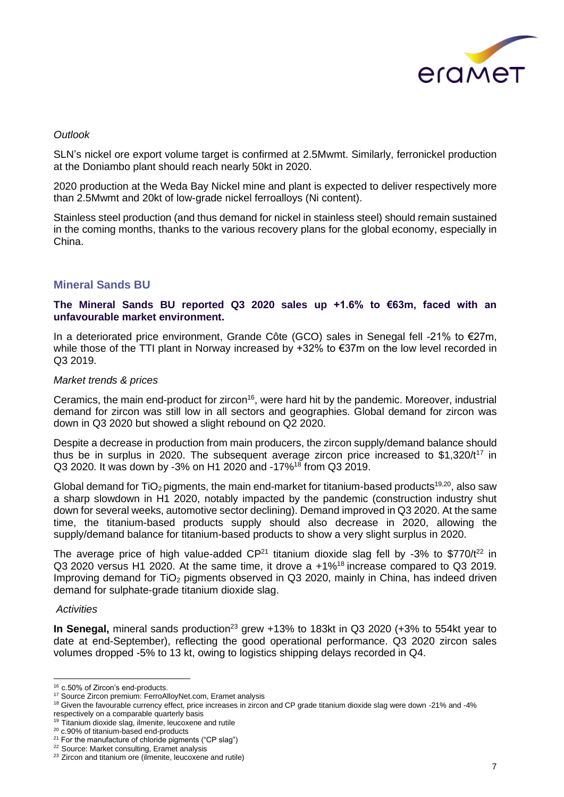

#### *Outlook*

SLN's nickel ore export volume target is confirmed at 2.5Mwmt. Similarly, ferronickel production at the Doniambo plant should reach nearly 50kt in 2020.

2020 production at the Weda Bay Nickel mine and plant is expected to deliver respectively more than 2.5Mwmt and 20kt of low-grade nickel ferroalloys (Ni content).

Stainless steel production (and thus demand for nickel in stainless steel) should remain sustained in the coming months, thanks to the various recovery plans for the global economy, especially in China.

### **Mineral Sands BU**

#### **The Mineral Sands BU reported Q3 2020 sales up +1.6% to €63m, faced with an unfavourable market environment.**

In a deteriorated price environment, Grande Côte (GCO) sales in Senegal fell -21% to €27m, while those of the TTI plant in Norway increased by +32% to €37m on the low level recorded in Q3 2019.

#### *Market trends & prices*

Ceramics, the main end-product for zircon<sup>16</sup>, were hard hit by the pandemic. Moreover, industrial demand for zircon was still low in all sectors and geographies. Global demand for zircon was down in Q3 2020 but showed a slight rebound on Q2 2020.

Despite a decrease in production from main producers, the zircon supply/demand balance should thus be in surplus in 2020. The subsequent average zircon price increased to  $$1,320/t^{17}$  in Q3 2020. It was down by -3% on H1 2020 and -17%<sup>18</sup> from Q3 2019.

Global demand for TiO<sub>2</sub> pigments, the main end-market for titanium-based products<sup>19,20</sup>, also saw a sharp slowdown in H1 2020, notably impacted by the pandemic (construction industry shut down for several weeks, automotive sector declining). Demand improved in Q3 2020. At the same time, the titanium-based products supply should also decrease in 2020, allowing the supply/demand balance for titanium-based products to show a very slight surplus in 2020.

The average price of high value-added  $CP^{21}$  titanium dioxide slag fell by -3% to \$770/t<sup>22</sup> in Q3 2020 versus H1 2020. At the same time, it drove a +1%<sup>18</sup>increase compared to Q3 2019. Improving demand for TiO<sub>2</sub> pigments observed in Q3 2020, mainly in China, has indeed driven demand for sulphate-grade titanium dioxide slag.

#### *Activities*

In Senegal, mineral sands production<sup>23</sup> grew +13% to 183kt in Q3 2020 (+3% to 554kt year to date at end-September), reflecting the good operational performance. Q3 2020 zircon sales volumes dropped -5% to 13 kt, owing to logistics shipping delays recorded in Q4.

<sup>16</sup> c.50% of Zircon's end-products.

<sup>17</sup> Source Zircon premium: FerroAlloyNet.com, Eramet analysis

<sup>&</sup>lt;sup>18</sup> Given the favourable currency effect, price increases in zircon and CP grade titanium dioxide slag were down -21% and -4% respectively on a comparable quarterly basis

<sup>&</sup>lt;sup>19</sup> Titanium dioxide slag, ilmenite, leucoxene and rutile

<sup>20</sup> c.90% of titanium-based end-products

<sup>&</sup>lt;sup>21</sup> For the manufacture of chloride pigments ("CP slag")

<sup>22</sup> Source: Market consulting, Eramet analysis

<sup>&</sup>lt;sup>23</sup> Zircon and titanium ore (ilmenite, leucoxene and rutile)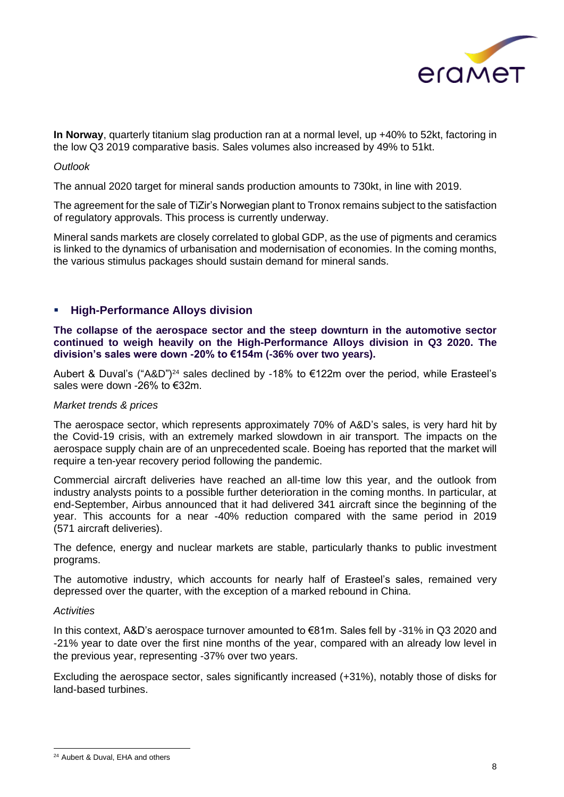

**In Norway**, quarterly titanium slag production ran at a normal level, up +40% to 52kt, factoring in the low Q3 2019 comparative basis. Sales volumes also increased by 49% to 51kt.

#### *Outlook*

The annual 2020 target for mineral sands production amounts to 730kt, in line with 2019.

The agreement for the sale of TiZir's Norwegian plant to Tronox remains subject to the satisfaction of regulatory approvals. This process is currently underway.

Mineral sands markets are closely correlated to global GDP, as the use of pigments and ceramics is linked to the dynamics of urbanisation and modernisation of economies. In the coming months, the various stimulus packages should sustain demand for mineral sands.

#### ▪ **High-Performance Alloys division**

**The collapse of the aerospace sector and the steep downturn in the automotive sector continued to weigh heavily on the High-Performance Alloys division in Q3 2020. The division's sales were down -20% to €154m (-36% over two years).**

Aubert & Duval's ("A&D")<sup>24</sup> sales declined by -18% to €122m over the period, while Erasteel's sales were down -26% to €32m.

#### *Market trends & prices*

The aerospace sector, which represents approximately 70% of A&D's sales, is very hard hit by the Covid-19 crisis, with an extremely marked slowdown in air transport. The impacts on the aerospace supply chain are of an unprecedented scale. Boeing has reported that the market will require a ten-year recovery period following the pandemic.

Commercial aircraft deliveries have reached an all-time low this year, and the outlook from industry analysts points to a possible further deterioration in the coming months. In particular, at end-September, Airbus announced that it had delivered 341 aircraft since the beginning of the year. This accounts for a near -40% reduction compared with the same period in 2019 (571 aircraft deliveries).

The defence, energy and nuclear markets are stable, particularly thanks to public investment programs.

The automotive industry, which accounts for nearly half of Erasteel's sales, remained very depressed over the quarter, with the exception of a marked rebound in China.

#### *Activities*

In this context, A&D's aerospace turnover amounted to €81m. Sales fell by -31% in Q3 2020 and -21% year to date over the first nine months of the year, compared with an already low level in the previous year, representing -37% over two years.

Excluding the aerospace sector, sales significantly increased (+31%), notably those of disks for land-based turbines.

<sup>24</sup> Aubert & Duval, EHA and others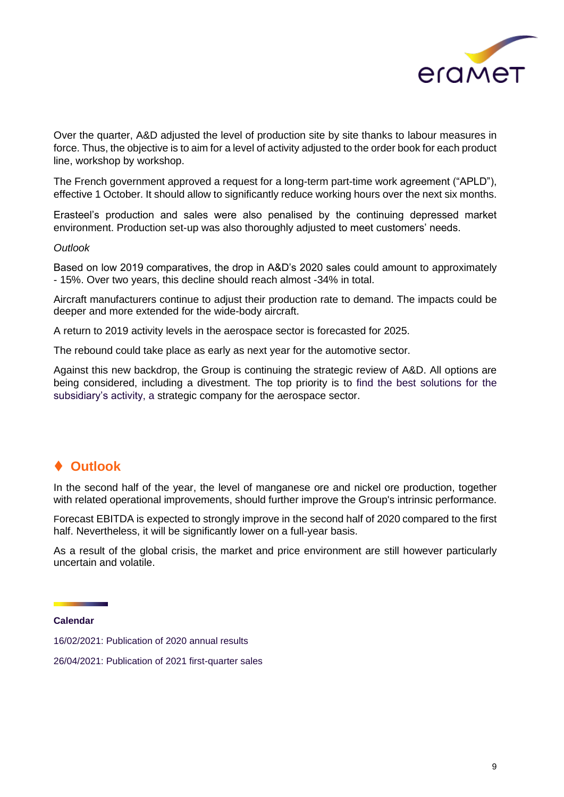

Over the quarter, A&D adjusted the level of production site by site thanks to labour measures in force. Thus, the objective is to aim for a level of activity adjusted to the order book for each product line, workshop by workshop.

The French government approved a request for a long-term part-time work agreement ("APLD"), effective 1 October. It should allow to significantly reduce working hours over the next six months.

Erasteel's production and sales were also penalised by the continuing depressed market environment. Production set-up was also thoroughly adjusted to meet customers' needs.

#### *Outlook*

Based on low 2019 comparatives, the drop in A&D's 2020 sales could amount to approximately - 15%. Over two years, this decline should reach almost -34% in total.

Aircraft manufacturers continue to adjust their production rate to demand. The impacts could be deeper and more extended for the wide-body aircraft.

A return to 2019 activity levels in the aerospace sector is forecasted for 2025.

The rebound could take place as early as next year for the automotive sector.

Against this new backdrop, the Group is continuing the strategic review of A&D. All options are being considered, including a divestment. The top priority is to find the best solutions for the subsidiary's activity, a strategic company for the aerospace sector.

### ⧫ **Outlook**

In the second half of the year, the level of manganese ore and nickel ore production, together with related operational improvements, should further improve the Group's intrinsic performance.

Forecast EBITDA is expected to strongly improve in the second half of 2020 compared to the first half. Nevertheless, it will be significantly lower on a full-year basis.

As a result of the global crisis, the market and price environment are still however particularly uncertain and volatile.

**Calendar** 

16/02/2021: Publication of 2020 annual results

26/04/2021: Publication of 2021 first-quarter sales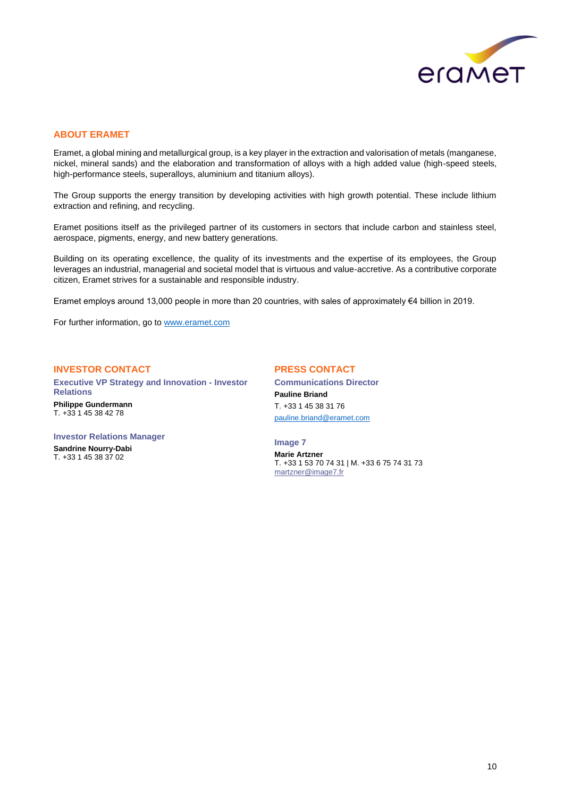

#### **ABOUT ERAMET**

Eramet, a global mining and metallurgical group, is a key player in the extraction and valorisation of metals (manganese, nickel, mineral sands) and the elaboration and transformation of alloys with a high added value (high-speed steels, high-performance steels, superalloys, aluminium and titanium alloys).

The Group supports the energy transition by developing activities with high growth potential. These include lithium extraction and refining, and recycling.

Eramet positions itself as the privileged partner of its customers in sectors that include carbon and stainless steel, aerospace, pigments, energy, and new battery generations.

Building on its operating excellence, the quality of its investments and the expertise of its employees, the Group leverages an industrial, managerial and societal model that is virtuous and value-accretive. As a contributive corporate citizen, Eramet strives for a sustainable and responsible industry.

Eramet employs around 13,000 people in more than 20 countries, with sales of approximately €4 billion in 2019.

For further information, go to [www.eramet.com](http://www.eramet.com/)

#### **INVESTOR CONTACT**

**Executive VP Strategy and Innovation - Investor Relations Philippe Gundermann** T. +33 1 45 38 42 78

#### **PRESS CONTACT**

**Communications Director Pauline Briand** T. +33 1 45 38 31 76 [pauline.briand@eramet.com](mailto:pauline.briand@eramet.com)

**Investor Relations Manager Sandrine Nourry-Dabi**

T. +33 1 45 38 37 02

**Image 7 Marie Artzner** T. +33 1 53 70 74 31 | M. +33 6 75 74 31 73 [martzner@image7.fr](mailto:martzner@image7.fr)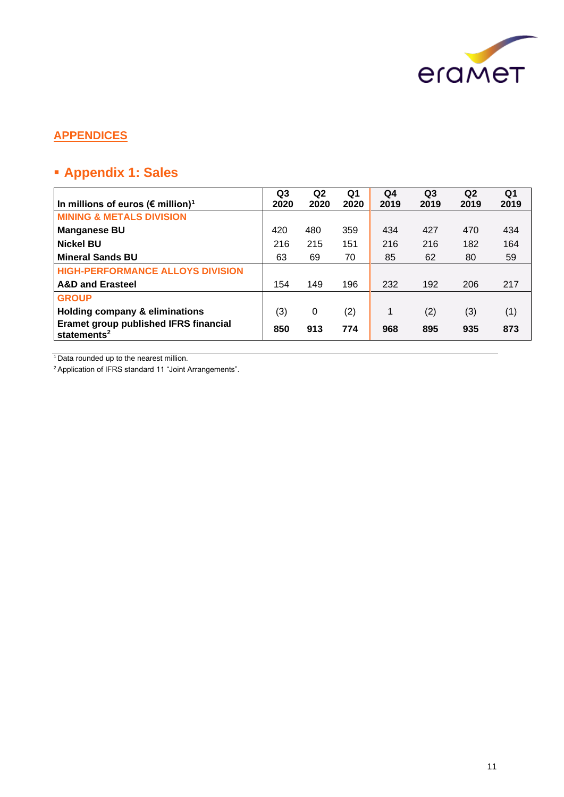

### **APPENDICES**

# ▪ **Appendix 1: Sales**

| In millions of euros ( $\epsilon$ million) <sup>1</sup>                 | Q <sub>3</sub><br>2020 | Q <sub>2</sub><br>2020 | Q <sub>1</sub><br>2020 | Q4<br>2019 | Q <sub>3</sub><br>2019 | Q2<br>2019 | Q1<br>2019 |
|-------------------------------------------------------------------------|------------------------|------------------------|------------------------|------------|------------------------|------------|------------|
| <b>MINING &amp; METALS DIVISION</b>                                     |                        |                        |                        |            |                        |            |            |
| <b>Manganese BU</b>                                                     | 420                    | 480                    | 359                    | 434        | 427                    | 470        | 434        |
| <b>Nickel BU</b>                                                        | 216                    | 215                    | 151                    | 216        | 216                    | 182        | 164        |
| <b>Mineral Sands BU</b>                                                 | 63                     | 69                     | 70                     | 85         | 62                     | 80         | 59         |
| <b>HIGH-PERFORMANCE ALLOYS DIVISION</b>                                 |                        |                        |                        |            |                        |            |            |
| <b>A&amp;D and Erasteel</b>                                             | 154                    | 149                    | 196                    | 232        | 192                    | 206        | 217        |
| <b>GROUP</b>                                                            |                        |                        |                        |            |                        |            |            |
| <b>Holding company &amp; eliminations</b>                               | (3)                    | 0                      | (2)                    | 1          | (2)                    | (3)        | (1)        |
| <b>Eramet group published IFRS financial</b><br>statements <sup>2</sup> | 850                    | 913                    | 774                    | 968        | 895                    | 935        | 873        |

<sup>1</sup> Data rounded up to the nearest million.

2 Application of IFRS standard 11 "Joint Arrangements".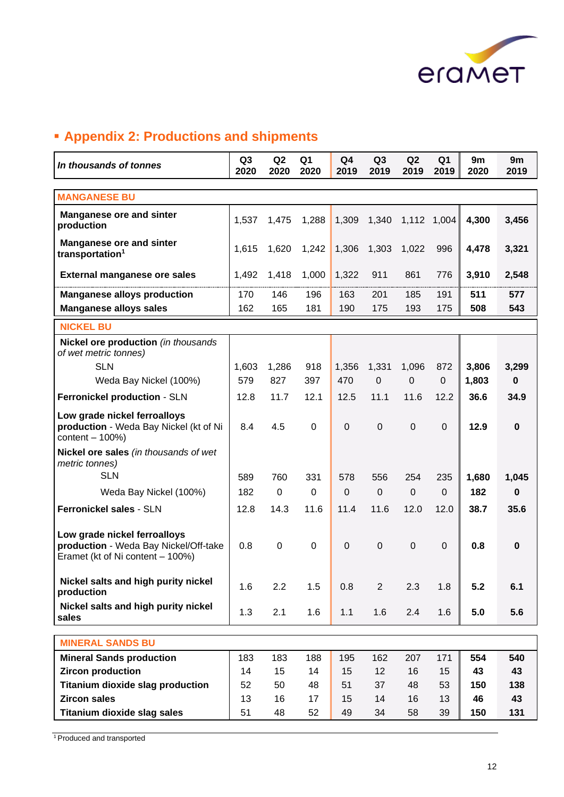

# ▪ **Appendix 2: Productions and shipments**

| In thousands of tonnes                                                                                    | Q <sub>3</sub><br>2020 | Q2<br>2020 | Q <sub>1</sub><br>2020 | Q4<br>2019     | Q <sub>3</sub><br>2019 | Q <sub>2</sub><br>2019 | Q <sub>1</sub><br>2019 | 9m<br>2020 | 9m<br>2019  |
|-----------------------------------------------------------------------------------------------------------|------------------------|------------|------------------------|----------------|------------------------|------------------------|------------------------|------------|-------------|
| <b>MANGANESE BU</b>                                                                                       |                        |            |                        |                |                        |                        |                        |            |             |
| <b>Manganese ore and sinter</b><br>production                                                             | 1,537                  | 1,475      | 1,288                  | 1,309          | 1,340                  | 1,112                  | 1,004                  | 4,300      | 3,456       |
| <b>Manganese ore and sinter</b><br>transportation <sup>1</sup>                                            | 1,615                  | 1,620      | 1,242                  | 1,306          | 1,303                  | 1,022                  | 996                    | 4,478      | 3,321       |
| <b>External manganese ore sales</b>                                                                       | 1,492                  | 1,418      | 1,000                  | 1,322          | 911                    | 861                    | 776                    | 3,910      | 2,548       |
| <b>Manganese alloys production</b>                                                                        | 170                    | 146        | 196                    | 163            | 201                    | 185                    | 191                    | 511        | 577         |
| <b>Manganese alloys sales</b>                                                                             | 162                    | 165        | 181                    | 190            | 175                    | 193                    | 175                    | 508        | 543         |
| <b>NICKEL BU</b>                                                                                          |                        |            |                        |                |                        |                        |                        |            |             |
| Nickel ore production (in thousands<br>of wet metric tonnes)                                              |                        |            |                        |                |                        |                        |                        |            |             |
| <b>SLN</b>                                                                                                | 1,603                  | 1,286      | 918                    | 1,356          | 1,331                  | 1,096                  | 872                    | 3,806      | 3,299       |
| Weda Bay Nickel (100%)                                                                                    | 579                    | 827        | 397                    | 470            | $\mathbf 0$            | $\mathbf 0$            | $\overline{0}$         | 1,803      | $\mathbf 0$ |
| Ferronickel production - SLN                                                                              | 12.8                   | 11.7       | 12.1                   | 12.5           | 11.1                   | 11.6                   | 12.2                   | 36.6       | 34.9        |
| Low grade nickel ferroalloys<br>production - Weda Bay Nickel (kt of Ni<br>content $-100%$                 | 8.4                    | 4.5        | 0                      | $\overline{0}$ | $\mathbf 0$            | $\mathbf 0$            | $\mathbf 0$            | 12.9       | $\mathbf 0$ |
| Nickel ore sales (in thousands of wet<br>metric tonnes)                                                   |                        |            |                        |                |                        |                        |                        |            |             |
| <b>SLN</b>                                                                                                | 589                    | 760        | 331                    | 578            | 556                    | 254                    | 235                    | 1,680      | 1,045       |
| Weda Bay Nickel (100%)                                                                                    | 182                    | 0          | 0                      | $\mathbf 0$    | $\mathbf 0$            | $\mathbf 0$            | $\Omega$               | 182        | $\mathbf 0$ |
| Ferronickel sales - SLN                                                                                   | 12.8                   | 14.3       | 11.6                   | 11.4           | 11.6                   | 12.0                   | 12.0                   | 38.7       | 35.6        |
| Low grade nickel ferroalloys<br>production - Weda Bay Nickel/Off-take<br>Eramet (kt of Ni content – 100%) | 0.8                    | 0          | 0                      | $\mathbf 0$    | $\boldsymbol{0}$       | $\boldsymbol{0}$       | $\mathbf 0$            | 0.8        | $\mathbf 0$ |
| Nickel salts and high purity nickel<br>production                                                         | 1.6                    | 2.2        | 1.5                    | 0.8            | $\overline{2}$         | 2.3                    | 1.8                    | 5.2        | 6.1         |
| Nickel salts and high purity nickel<br>sales                                                              | 1.3                    | 2.1        | 1.6                    | 1.1            | 1.6                    | 2.4                    | 1.6                    | 5.0        | 5.6         |
| <b>MINERAL SANDS BU</b>                                                                                   |                        |            |                        |                |                        |                        |                        |            |             |
| <b>Mineral Sands production</b>                                                                           | 183                    | 183        | 188                    | 195            | 162                    | 207                    | 171                    | 554        | 540         |
| <b>Zircon production</b>                                                                                  | 14                     | 15         | 14                     | 15             | 12                     | 16                     | 15                     | 43         | 43          |
| <b>Titanium dioxide slag production</b>                                                                   | 52                     | 50         | 48                     | 51             | 37                     | 48                     | 53                     | 150        | 138         |
| <b>Zircon sales</b>                                                                                       | 13                     | 16         | 17                     | 15             | 14                     | 16                     | 13                     | 46         | 43          |
| <b>Titanium dioxide slag sales</b>                                                                        | 51                     | 48         | 52                     | 49             | 34                     | 58                     | 39                     | 150        | 131         |

<sup>1</sup> Produced and transported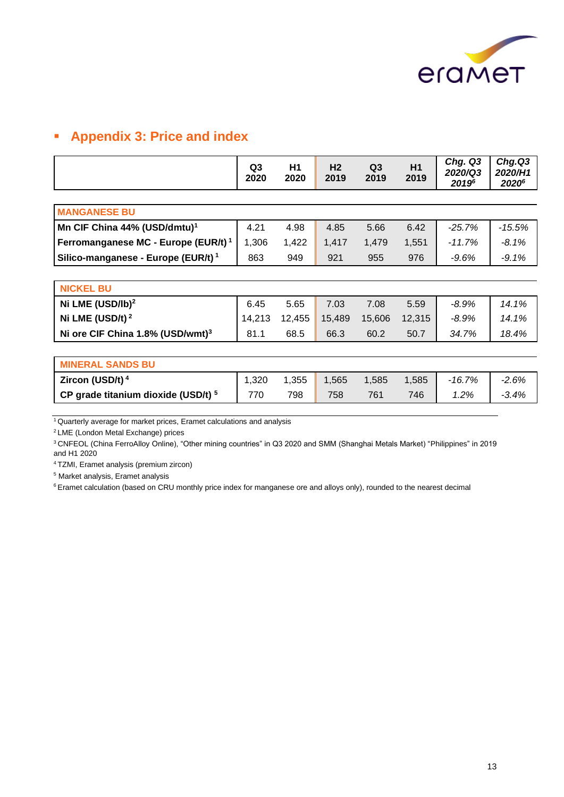

# ▪ **Appendix 3: Price and index**

| Q <sub>3</sub><br>2020  | H1<br>2020 | H <sub>2</sub><br>2019 | Q <sub>3</sub><br>2019 | H1<br>2019 | Chg. Q3<br>2020/Q3<br>20196 | Chg.Q3<br>2020/H1<br>20206 |  |
|-------------------------|------------|------------------------|------------------------|------------|-----------------------------|----------------------------|--|
|                         |            |                        |                        |            |                             |                            |  |
|                         |            |                        |                        |            |                             |                            |  |
| 4.21                    | 4.98       | 4.85                   | 5.66                   | 6.42       | $-25.7%$                    | $-15.5%$                   |  |
| 1,306                   | 1,422      | 1,417                  | 1,479                  | 1,551      | $-11.7%$                    | $-8.1%$                    |  |
| 863                     | 949        | 921                    | 955                    | 976        | -9.6%                       | $-9.1%$                    |  |
|                         |            |                        |                        |            |                             |                            |  |
|                         |            |                        |                        |            |                             |                            |  |
| 6.45                    | 5.65       | 7.03                   | 7.08                   | 5.59       | $-8.9%$                     | 14.1%                      |  |
| 14,213                  | 12,455     | 15,489                 | 15,606                 | 12,315     | $-8.9\%$                    | 14.1%                      |  |
| 81.1                    | 68.5       | 66.3                   | 60.2                   | 50.7       | 34.7%                       | 18.4%                      |  |
|                         |            |                        |                        |            |                             |                            |  |
| <b>MINERAL SANDS BU</b> |            |                        |                        |            |                             |                            |  |
| 1,320                   | 1,355      | 1,565                  | 1,585                  | 1,585      | $-16.7%$                    | $-2.6%$                    |  |
| 770                     | 798        | 758                    | 761                    | 746        | $1.2\%$                     | $-3.4%$                    |  |
|                         |            |                        |                        |            |                             |                            |  |

<sup>1</sup>Quarterly average for market prices, Eramet calculations and analysis

<sup>2</sup>LME (London Metal Exchange) prices

<sup>3</sup>CNFEOL (China FerroAlloy Online), "Other mining countries" in Q3 2020 and SMM (Shanghai Metals Market) "Philippines" in 2019 and H1 2020

<sup>4</sup>TZMI, Eramet analysis (premium zircon)

<sup>5</sup> Market analysis, Eramet analysis

<sup>6</sup> Eramet calculation (based on CRU monthly price index for manganese ore and alloys only), rounded to the nearest decimal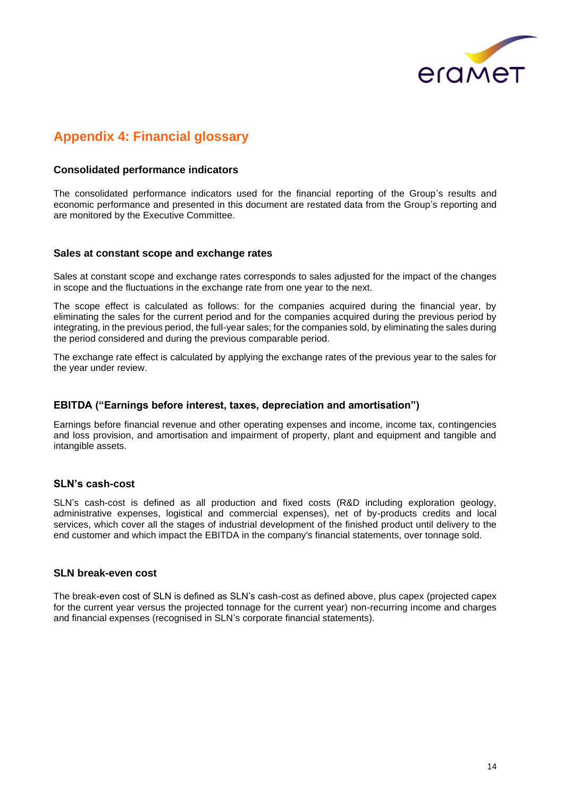

# **Appendix 4: Financial glossary**

#### **Consolidated performance indicators**

The consolidated performance indicators used for the financial reporting of the Group's results and economic performance and presented in this document are restated data from the Group's reporting and are monitored by the Executive Committee.

#### **Sales at constant scope and exchange rates**

Sales at constant scope and exchange rates corresponds to sales adjusted for the impact of the changes in scope and the fluctuations in the exchange rate from one year to the next.

The scope effect is calculated as follows: for the companies acquired during the financial year, by eliminating the sales for the current period and for the companies acquired during the previous period by integrating, in the previous period, the full-year sales; for the companies sold, by eliminating the sales during the period considered and during the previous comparable period.

The exchange rate effect is calculated by applying the exchange rates of the previous year to the sales for the year under review.

#### **EBITDA ("Earnings before interest, taxes, depreciation and amortisation")**

Earnings before financial revenue and other operating expenses and income, income tax, contingencies and loss provision, and amortisation and impairment of property, plant and equipment and tangible and intangible assets.

#### **SLN's cash-cost**

SLN's cash-cost is defined as all production and fixed costs (R&D including exploration geology, administrative expenses, logistical and commercial expenses), net of by-products credits and local services, which cover all the stages of industrial development of the finished product until delivery to the end customer and which impact the EBITDA in the company's financial statements, over tonnage sold.

#### **SLN break-even cost**

The break-even cost of SLN is defined as SLN's cash-cost as defined above, plus capex (projected capex for the current year versus the projected tonnage for the current year) non-recurring income and charges and financial expenses (recognised in SLN's corporate financial statements).